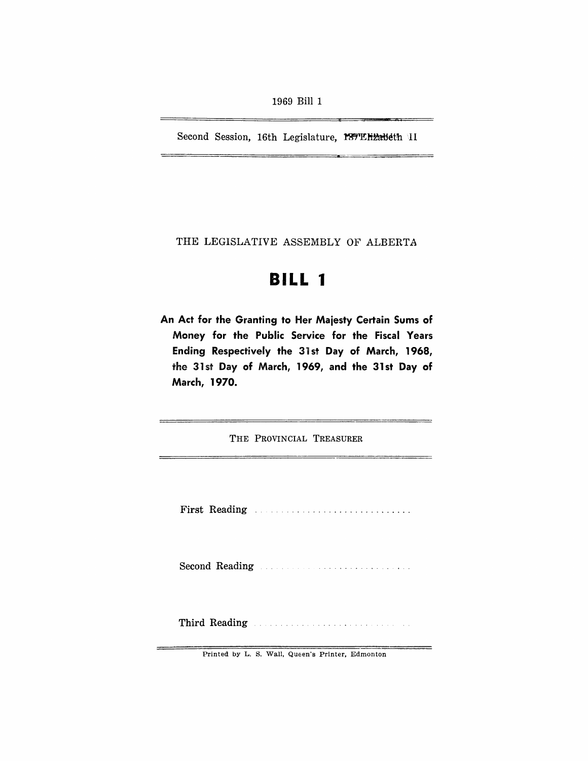Second Session, 16th Legislature, 189TEH2abeth II

THE LEGISLATIVE ASSEMBLY OF ALBERTA

# **BILL 1**

An Act for the Granting to Her Maiesty Certain Sums of Money for the Public Service for the Fiscal Years Ending Respectively the 31st Day of March, 1968, the 31st Day of March, 1969, and the 31st Day of March, 1970.

THE PROVINCIAL TREASURER

First Reading ..

Second Reading

Third Reading **Election Communication** 

Printed by L. S. Wall, Queen's Printer, Edmonton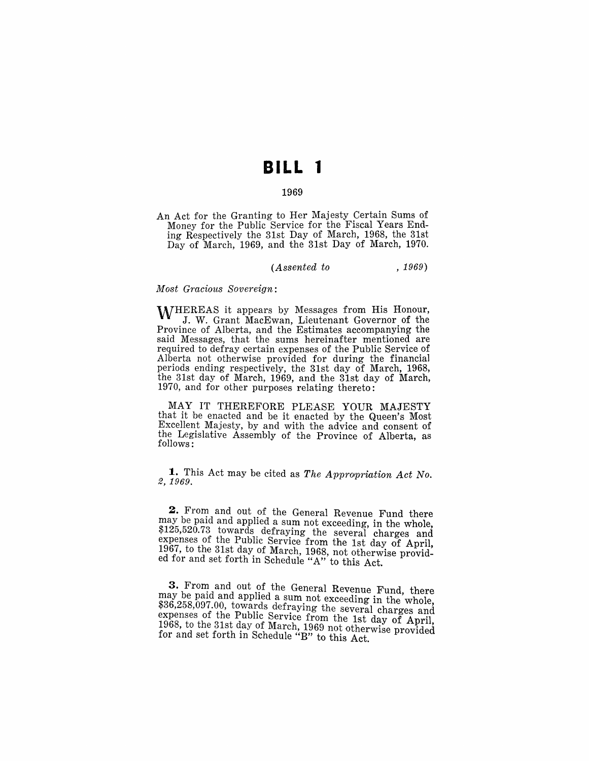# **BILL 1**

#### 1969

An Act for the Granting to Her Majesty Certain Sums of Money for the Public Service for the Fiscal Years Ending Respectively the 31st Day of March, 1968, the 31st Day of March, 1969, and the 31st Day of March, 1970.

#### *(Assented to* , 1969)

#### *MOist Gracious Sovereign:*

WHEREAS it appears by Messages from His Honour, J. W. Grant MacEwan, Lieutenant Governor of the Province of Alberta, and the Estimates accompanying the said Messages, that the sums hereinafter mentioned are required to defray certain expenses of the Public Service of Alberta not otherwise provided for during the financial periods ending respectively, the 31st day of March, 1968, the 31st day of March, 1969, and the 31st day of March, 1970, and for other purposes relating thereto:

MAY IT THEREFORE PLEASE YOUR MAJESTY that it be enacted and be it enacted by the Queen's Most Excellent Majesty, by and with the advice and consent of the Legislative Assembly of the Province of Alberta, as follows:

**1.** This Act may be cited as *The Appropriation Act No.* 2, 1969.

**2.** From and out of the General Revenue Fund there may be paid and applied a sum not exceeding, in the whole, \$125,520.73 towards defraying the several charges and expenses of the Public Service from the 1st day of April,  $1967$ , to the 31st day of March, 1968, not otherwise provided for and set forth in Schedule "A'" to this Act.

3. From and out of the General Revenue Fund, there may be paid and applied a sum not exceeding in the whole, \$36,258,097.00, towards defraying the several charges and expenses of the Public Service from the 1st day of April, expenses of the 1 april 2001 to the 1968, to the 31st day of March, 1969 not otherwise provided for and set forth in Schedule "B" to this Act.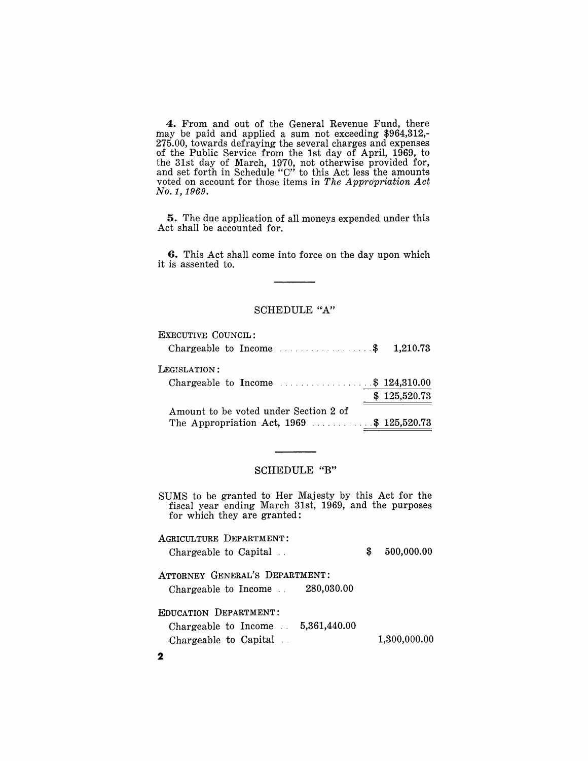**4.** From and out of the General Revenue Fund, there may be paid and applied a sum not exceeding \$964,312,- 275.00, towards defraying the several charges and expenses of the Public Service from the 1st day of April, 1969, to the 31st day of March, 1970, not otherwise provided for, and set forth in Schedule "c" to this Act less the amounts voted on account for those items in *The Appropriation Act No.* 1, 1969.

**5.** The due application of all moneys expended under this Act shall be accounted for.

**6.** This Act shall come into force on the day upon which it is assented to.

#### SCHEDULE "A"

| EXECUTIVE COUNCIL:                                        |              |
|-----------------------------------------------------------|--------------|
| Chargeable to Income $\ldots \ldots \ldots$ \$ 1,210.73   |              |
| LEGISLATION:                                              |              |
| Chargeable to Income $\ldots \ldots \ldots$ \$ 124,310.00 |              |
|                                                           | \$125,520.73 |
| Amount to be voted under Section 2 of                     |              |
| The Appropriation Act, 1969 \$ 125,520.73                 |              |

#### SCHEDULE "B"

SUMS to be granted to Her Majesty by this Act for the fiscal year ending March 31st, 1969, and the purposes for which they are granted:

AGRICULTURE DEPARTMENT: Chargeable to Capital .. ATTORNEY GENERAL'S DEPARTMENT: Chargeable to Income .. 280,030.00 EDUCATION DEPARTMENT: 2 Chargeable to Income 5,361,440.00 Chargeable to Capital \$ 500,000.00 1,300,000.00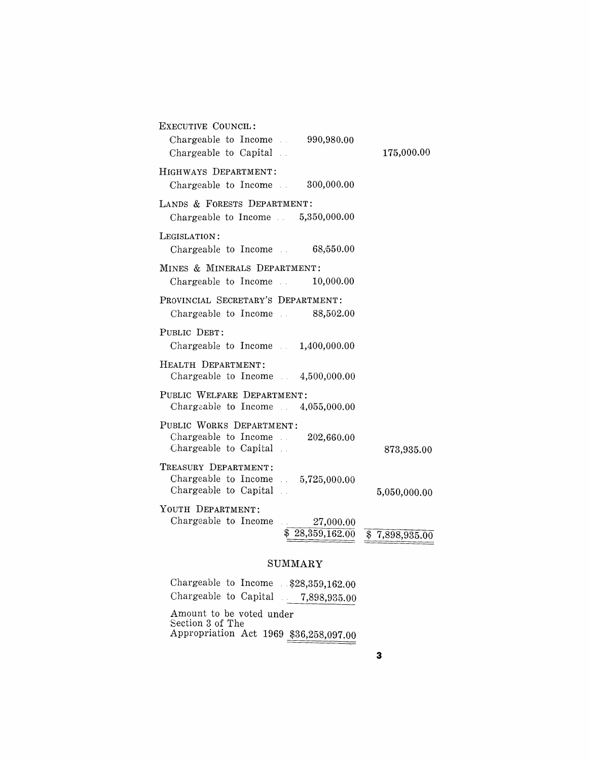| EXECUTIVE COUNCIL:                                           |                            |
|--------------------------------------------------------------|----------------------------|
| Chargeable to Income<br>990,980.00<br>Chargeable to Capital. | 175,000.00                 |
| HIGHWAYS DEPARTMENT:                                         |                            |
| Chargeable to Income . 300,000.00                            |                            |
| LANDS & FORESTS DEPARTMENT:                                  |                            |
| Chargeable to Income $.5,350,000.00$                         |                            |
| LEGISLATION:                                                 |                            |
| Chargeable to Income $.68,550.00$                            |                            |
| MINES & MINERALS DEPARTMENT:                                 |                            |
| Chargeable to Income $\ldots$ 10,000.00                      |                            |
| PROVINCIAL SECRETARY'S DEPARTMENT:                           |                            |
| Chargeable to Income . 88,502.00                             |                            |
| PUBLIC DEBT:                                                 |                            |
| Chargeable to Income $\qquad 1,400,000.00$                   |                            |
| HEALTH DEPARTMENT:                                           |                            |
| Chargeable to Income $4,500,000.00$                          |                            |
| PUBLIC WELFARE DEPARTMENT:                                   |                            |
| Chargeable to Income $\ldots$ 4,055,000.00                   |                            |
| PUBLIC WORKS DEPARTMENT:                                     |                            |
| Chargeable to Income<br>202,660.00                           |                            |
| Chargeable to Capital                                        | 873,935.00                 |
| TREASURY DEPARTMENT:                                         |                            |
| Chargeable to Income $.5,725,000.00$                         |                            |
| Chargeable to Capital                                        | 5,050,000.00               |
| YOUTH DEPARTMENT:                                            |                            |
| Chargeable to Income<br>27,000.00<br>\$28,359,162.00         |                            |
|                                                              | $\overline{$}7,898,935.00$ |

# SUMMARY

| Chargeable to Income $.328,359,162.00$                                                 |  |  |  |  |
|----------------------------------------------------------------------------------------|--|--|--|--|
| Chargeable to Capital $.7,898,935.00$                                                  |  |  |  |  |
| Amount to be voted under<br>Section 3 of The<br>Appropriation Act 1969 \$36,258,097.00 |  |  |  |  |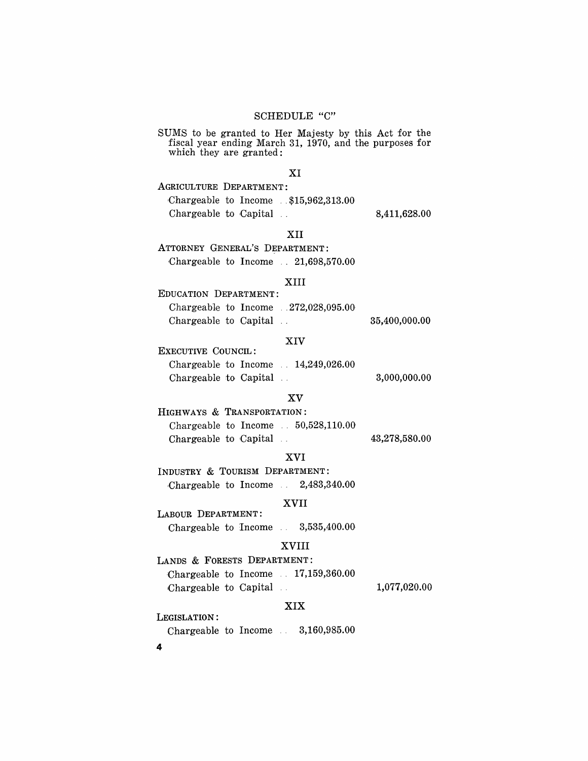## SCHEDULE "C"

SUMS to be granted to Her Majesty by this Act for the fiscal year ending March 31, 1970, and the purposes for which they are granted:

#### XI

AGRICULTURE DEPARTMENT: Chargeable to Income .. \$15,962,313.00 Chargeable to Capital 8,411,628.00

XII

ATTORNEY GENERAL'S DEPARTMENT: Chargeable to Income .. 21,698,570.00

#### XIII

| EDUCATION DEPARTMENT:                  |               |
|----------------------------------------|---------------|
| Chargeable to Income $.272,028,095.00$ |               |
| Chargeable to Capital                  | 35,400,000.00 |

#### XIV

| EXECUTIVE COUNCIL:                              |              |
|-------------------------------------------------|--------------|
| Chargeable to Income $\therefore$ 14,249,026.00 |              |
| Chargeable to Capital.                          | 3,000,000,00 |

## XV

HIGHWAYS & TRANSPORTATION: Chargeable to Income .. 50,528,110.00 Chargeable to Capital  $43,278,580.00$ 

#### XVI

INDUSTRY & TOURISM DEPARTMENT: Chargeable to Income  $2,483,340.00$ 

### XVII

LABOUR DEPARTMENT: Chargeable to Income  $3,535,400.00$ 

## XVIII

LANDS & FORESTS DEPARTMENT: Chargeable to Income .. 17,159,360.00 Chargeable to Capital 1,077,020.00

# XIX

Chargeable to Income  $3,160,985.00$ 

4

LEGISLATION: